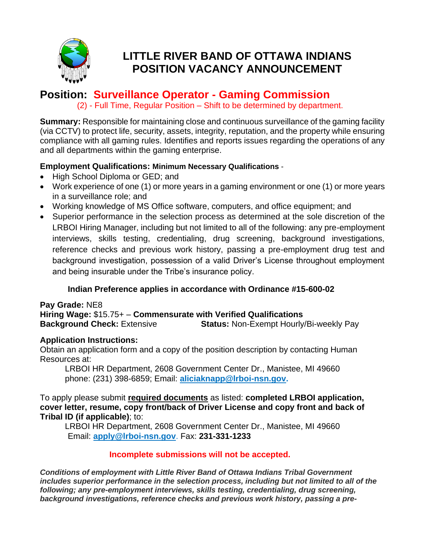

# **LITTLE RIVER BAND OF OTTAWA INDIANS POSITION VACANCY ANNOUNCEMENT**

## **Position: Surveillance Operator - Gaming Commission**

(2) - Full Time, Regular Position – Shift to be determined by department.

**Summary:** Responsible for maintaining close and continuous surveillance of the gaming facility (via CCTV) to protect life, security, assets, integrity, reputation, and the property while ensuring compliance with all gaming rules. Identifies and reports issues regarding the operations of any and all departments within the gaming enterprise.

#### **Employment Qualifications: Minimum Necessary Qualifications** -

- High School Diploma or GED; and
- Work experience of one (1) or more years in a gaming environment or one (1) or more years in a surveillance role; and
- Working knowledge of MS Office software, computers, and office equipment; and
- Superior performance in the selection process as determined at the sole discretion of the LRBOI Hiring Manager, including but not limited to all of the following: any pre-employment interviews, skills testing, credentialing, drug screening, background investigations, reference checks and previous work history, passing a pre-employment drug test and background investigation, possession of a valid Driver's License throughout employment and being insurable under the Tribe's insurance policy.

### **Indian Preference applies in accordance with Ordinance #15-600-02**

#### **Pay Grade:** NE8 **Hiring Wage:** \$15.75+ – **Commensurate with Verified Qualifications Background Check:** Extensive **Status:** Non-Exempt Hourly/Bi-weekly Pay

### **Application Instructions:**

Obtain an application form and a copy of the position description by contacting Human Resources at:

LRBOI HR Department, 2608 Government Center Dr., Manistee, MI 49660 phone: (231) 398-6859; Email: **aliciaknapp@lrboi-nsn.gov.**

To apply please submit **required documents** as listed: **completed LRBOI application, cover letter, resume, copy front/back of Driver License and copy front and back of Tribal ID (if applicable)**; to:

LRBOI HR Department, 2608 Government Center Dr., Manistee, MI 49660 Email: **apply@lrboi-nsn.gov**. Fax: **231-331-1233**

### **Incomplete submissions will not be accepted.**

*Conditions of employment with Little River Band of Ottawa Indians Tribal Government includes superior performance in the selection process, including but not limited to all of the following; any pre-employment interviews, skills testing, credentialing, drug screening, background investigations, reference checks and previous work history, passing a pre-*